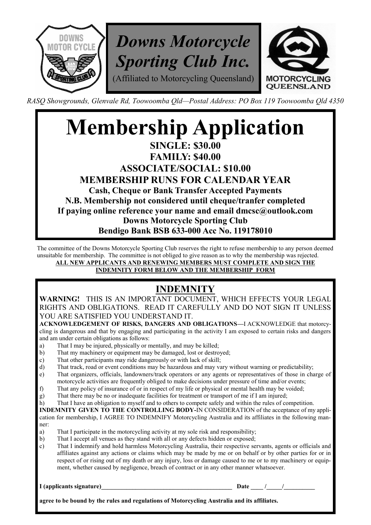

*RASQ Showgrounds, Glenvale Rd, Toowoomba Qld—Postal Address: PO Box 119 Toowoomba Qld 4350*

## **Membership Application SINGLE: \$30.00 FAMILY: \$40.00 ASSOCIATE/SOCIAL: \$10.00 MEMBERSHIP RUNS FOR CALENDAR YEAR Cash, Cheque or Bank Transfer Accepted Payments N.B. Membership not considered until cheque/tranfer completed If paying online reference your name and email dmcsc@outlook.com Downs Motorcycle Sporting Club Bendigo Bank BSB 633-000 Acc No. 119178010**

The committee of the Downs Motorcycle Sporting Club reserves the right to refuse membership to any person deemed unsuitable for membership. The committee is not obliged to give reason as to why the membership was rejected. **ALL NEW APPLICANTS AND RENEWING MEMBERS MUST COMPLETE AND SIGN THE** 

**INDEMNITY FORM BELOW AND THE MEMBERSHIP FORM**

## **INDEMNITY**

**WARNING!** THIS IS AN IMPORTANT DOCUMENT, WHICH EFFECTS YOUR LEGAL RIGHTS AND OBLIGATIONS. READ IT CAREFULLY AND DO NOT SIGN IT UNLESS YOU ARE SATISFIED YOU UNDERSTAND IT.

**ACKNOWLEDGEMENT OF RISKS, DANGERS AND OBLIGATIONS—**I ACKNOWLEDGE that motorcycling is dangerous and that by engaging and participating in the activity I am exposed to certain risks and dangers and am under certain obligations as follows:

- a) That I may be injured, physically or mentally, and may be killed;
- b) That my machinery or equipment may be damaged, lost or destroyed;
- c) That other participants may ride dangerously or with lack of skill;
- d) That track, road or event conditions may be hazardous and may vary without warning or predictability;
- e) That organizers, officials, landowners/track operators or any agents or representatives of those in charge of motorcycle activities are frequently obliged to make decisions under pressure of time and/or events;
- f) That any policy of insurance of or in respect of my life or physical or mental health may be voided;
- g) That there may be no or inadequate facilities for treatment or transport of me if I am injured;
- h) That I have an obligation to myself and to others to compete safely and within the rules of competition.

**INDEMNITY GIVEN TO THE CONTROLLING BODY-**IN CONSIDERATION of the acceptance of my application for membership, I AGREE TO INDEMNIFY Motorcycling Australia and its affiliates in the following manner:

- a) That I participate in the motorcycling activity at my sole risk and responsibility;
- b) That I accept all venues as they stand with all or any defects hidden or exposed;
- c) That I indemnify and hold harmless Motorcycling Australia, their respective servants, agents or officials and affiliates against any actions or claims which may be made by me or on behalf or by other parties for or in respect of or rising out of my death or any injury, loss or damage caused to me or to my machinery or equipment, whether caused by negligence, breach of contract or in any other manner whatsoever.

**I (applicants signature)\_\_\_\_\_\_\_\_\_\_\_\_\_\_\_\_\_\_\_\_\_\_\_\_\_\_\_\_\_\_\_\_\_\_\_\_\_\_\_\_\_\_ Date \_\_\_\_ /\_\_\_\_\_/\_\_\_\_\_\_\_\_\_\_**

**agree to be bound by the rules and regulations of Motorcycling Australia and its affiliates.**